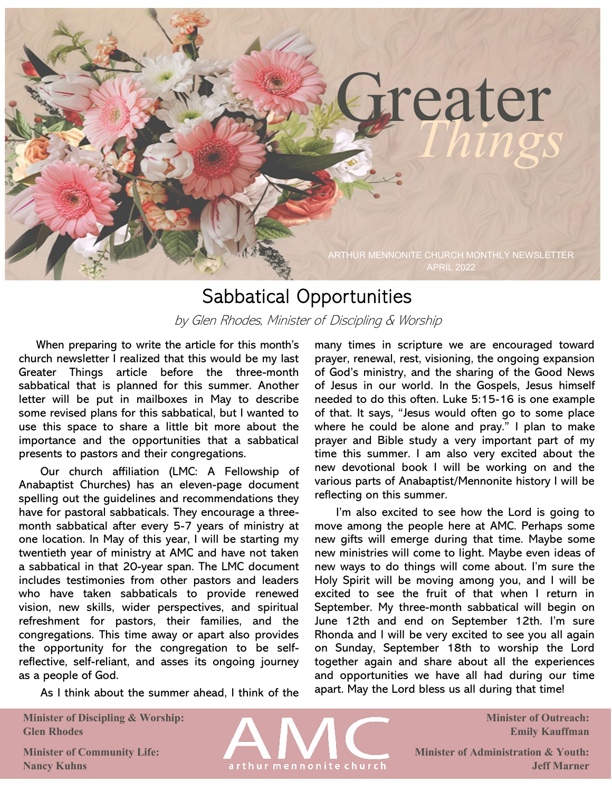# Greater

ARTHUR MENNONITE CHURCH MONTHLY NEWSLETTER APRIL 2022

## Sabbatical Opportunities

by Glen Rhodes, Minister of Discipling & Worship

 When preparing to write the article for this month's church newsletter I realized that this would be my last Greater Things article before the three-month sabbatical that is planned for this summer. Another letter will be put in mailboxes in May to describe some revised plans for this sabbatical, but I wanted to use this space to share a little bit more about the importance and the opportunities that a sabbatical presents to pastors and their congregations.

 Our church affiliation (LMC: A Fellowship of Anabaptist Churches) has an eleven-page document spelling out the guidelines and recommendations they have for pastoral sabbaticals. They encourage a threemonth sabbatical after every 5-7 years of ministry at one location. In May of this year, I will be starting my twentieth year of ministry at AMC and have not taken a sabbatical in that 20-year span. The LMC document includes testimonies from other pastors and leaders who have taken sabbaticals to provide renewed vision, new skills, wider perspectives, and spiritual refreshment for pastors, their families, and the congregations. This time away or apart also provides the opportunity for the congregation to be selfreflective, self-reliant, and asses its ongoing journey as a people of God.

As I think about the summer ahead, I think of the

**Minister of Discipling & Worship: Glen Rhodes** 

arthur mennonite church

many times in scripture we are encouraged toward prayer, renewal, rest, visioning, the ongoing expansion of God's ministry, and the sharing of the Good News of Jesus in our world. In the Gospels, Jesus himself needed to do this often. Luke 5:15-16 is one example of that. It says, "Jesus would often go to some place where he could be alone and pray." I plan to make prayer and Bible study a very important part of my time this summer. I am also very excited about the new devotional book I will be working on and the various parts of Anabaptist/Mennonite history I will be reflecting on this summer.

I'm also excited to see how the Lord is going to move among the people here at AMC. Perhaps some new gifts will emerge during that time. Maybe some new ministries will come to light. Maybe even ideas of new ways to do things will come about. I'm sure the Holy Spirit will be moving among you, and I will be excited to see the fruit of that when I return in September. My three-month sabbatical will begin on June 12th and end on September 12th. I'm sure Rhonda and I will be very excited to see you all again on Sunday, September 18th to worship the Lord together again and share about all the experiences and opportunities we have all had during our time apart. May the Lord bless us all during that time!

> **Minister of Outreach: Emily Kauffman**

**Minister of Administration & Youth: Jeff Marner**

**Minister of Community Life: Nancy Kuhns**